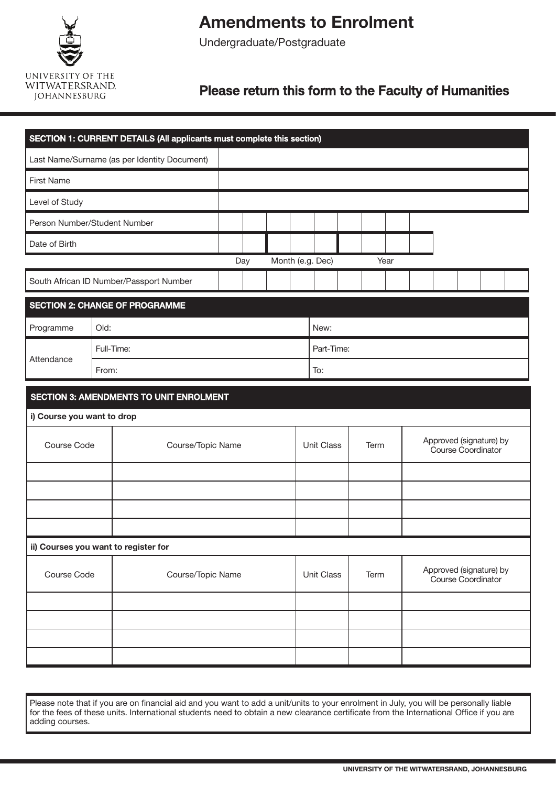

## **Amendments to Enrolment**

Undergraduate/Postgraduate

## Please return this form to the Faculty of Humanities

|                                      |       | SECTION 1: CURRENT DETAILS (All applicants must complete this section) |     |  |  |  |                                                                     |  |      |  |                                               |  |  |  |  |  |
|--------------------------------------|-------|------------------------------------------------------------------------|-----|--|--|--|---------------------------------------------------------------------|--|------|--|-----------------------------------------------|--|--|--|--|--|
|                                      |       | Last Name/Surname (as per Identity Document)                           |     |  |  |  |                                                                     |  |      |  |                                               |  |  |  |  |  |
| <b>First Name</b>                    |       |                                                                        |     |  |  |  |                                                                     |  |      |  |                                               |  |  |  |  |  |
| Level of Study                       |       |                                                                        |     |  |  |  |                                                                     |  |      |  |                                               |  |  |  |  |  |
| Person Number/Student Number         |       |                                                                        |     |  |  |  |                                                                     |  |      |  |                                               |  |  |  |  |  |
| Date of Birth                        |       |                                                                        |     |  |  |  |                                                                     |  |      |  |                                               |  |  |  |  |  |
|                                      |       |                                                                        | Day |  |  |  | Month (e.g. Dec)                                                    |  | Year |  |                                               |  |  |  |  |  |
|                                      |       | South African ID Number/Passport Number                                |     |  |  |  |                                                                     |  |      |  |                                               |  |  |  |  |  |
|                                      |       | <b>SECTION 2: CHANGE OF PROGRAMME</b>                                  |     |  |  |  |                                                                     |  |      |  |                                               |  |  |  |  |  |
| Programme                            | Old:  |                                                                        |     |  |  |  | New:                                                                |  |      |  |                                               |  |  |  |  |  |
|                                      |       | Full-Time:                                                             |     |  |  |  | Part-Time:                                                          |  |      |  |                                               |  |  |  |  |  |
| Attendance                           | From: |                                                                        |     |  |  |  | To:                                                                 |  |      |  |                                               |  |  |  |  |  |
|                                      |       | <b>SECTION 3: AMENDMENTS TO UNIT ENROLMENT</b>                         |     |  |  |  |                                                                     |  |      |  |                                               |  |  |  |  |  |
| i) Course you want to drop           |       |                                                                        |     |  |  |  |                                                                     |  |      |  |                                               |  |  |  |  |  |
| Course Code                          |       | Course/Topic Name                                                      |     |  |  |  | <b>Unit Class</b><br>Term                                           |  |      |  | Approved (signature) by<br>Course Coordinator |  |  |  |  |  |
|                                      |       |                                                                        |     |  |  |  |                                                                     |  |      |  |                                               |  |  |  |  |  |
|                                      |       |                                                                        |     |  |  |  |                                                                     |  |      |  |                                               |  |  |  |  |  |
|                                      |       |                                                                        |     |  |  |  |                                                                     |  |      |  |                                               |  |  |  |  |  |
| ii) Courses you want to register for |       |                                                                        |     |  |  |  |                                                                     |  |      |  |                                               |  |  |  |  |  |
|                                      |       |                                                                        |     |  |  |  |                                                                     |  |      |  |                                               |  |  |  |  |  |
| Course Code<br>Course/Topic Name     |       |                                                                        |     |  |  |  | Approved (signature) by<br>Unit Class<br>Term<br>Course Coordinator |  |      |  |                                               |  |  |  |  |  |
|                                      |       |                                                                        |     |  |  |  |                                                                     |  |      |  |                                               |  |  |  |  |  |
|                                      |       |                                                                        |     |  |  |  |                                                                     |  |      |  |                                               |  |  |  |  |  |
|                                      |       |                                                                        |     |  |  |  |                                                                     |  |      |  |                                               |  |  |  |  |  |
|                                      |       |                                                                        |     |  |  |  |                                                                     |  |      |  |                                               |  |  |  |  |  |

Please note that if you are on financial aid and you want to add a unit/units to your enrolment in July, you will be personally liable for the fees of these units. International students need to obtain a new clearance certificate from the International Office if you are adding courses.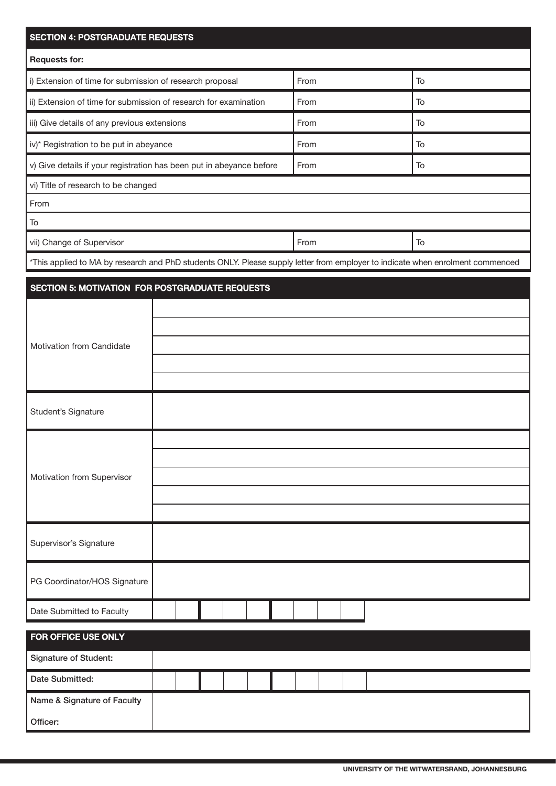| <b>SECTION 4: POSTGRADUATE REQUESTS</b>                                                                                        |  |      |  |  |  |      |    |  |  |    |  |  |  |  |
|--------------------------------------------------------------------------------------------------------------------------------|--|------|--|--|--|------|----|--|--|----|--|--|--|--|
| <b>Requests for:</b>                                                                                                           |  |      |  |  |  |      |    |  |  |    |  |  |  |  |
| i) Extension of time for submission of research proposal                                                                       |  |      |  |  |  | From |    |  |  | To |  |  |  |  |
| ii) Extension of time for submission of research for examination                                                               |  |      |  |  |  | From |    |  |  | To |  |  |  |  |
| iii) Give details of any previous extensions                                                                                   |  |      |  |  |  | From |    |  |  | To |  |  |  |  |
| iv)* Registration to be put in abeyance                                                                                        |  | From |  |  |  |      | To |  |  |    |  |  |  |  |
| v) Give details if your registration has been put in abeyance before                                                           |  | From |  |  |  |      | To |  |  |    |  |  |  |  |
| vi) Title of research to be changed                                                                                            |  |      |  |  |  |      |    |  |  |    |  |  |  |  |
| From                                                                                                                           |  |      |  |  |  |      |    |  |  |    |  |  |  |  |
| To                                                                                                                             |  |      |  |  |  |      |    |  |  |    |  |  |  |  |
| vii) Change of Supervisor                                                                                                      |  | From |  |  |  | To   |    |  |  |    |  |  |  |  |
| *This applied to MA by research and PhD students ONLY. Please supply letter from employer to indicate when enrolment commenced |  |      |  |  |  |      |    |  |  |    |  |  |  |  |
| <b>SECTION 5: MOTIVATION FOR POSTGRADUATE REQUESTS</b>                                                                         |  |      |  |  |  |      |    |  |  |    |  |  |  |  |
|                                                                                                                                |  |      |  |  |  |      |    |  |  |    |  |  |  |  |
|                                                                                                                                |  |      |  |  |  |      |    |  |  |    |  |  |  |  |
| Motivation from Candidate                                                                                                      |  |      |  |  |  |      |    |  |  |    |  |  |  |  |
|                                                                                                                                |  |      |  |  |  |      |    |  |  |    |  |  |  |  |
|                                                                                                                                |  |      |  |  |  |      |    |  |  |    |  |  |  |  |
| Student's Signature                                                                                                            |  |      |  |  |  |      |    |  |  |    |  |  |  |  |
|                                                                                                                                |  |      |  |  |  |      |    |  |  |    |  |  |  |  |
|                                                                                                                                |  |      |  |  |  |      |    |  |  |    |  |  |  |  |
| Motivation from Supervisor                                                                                                     |  |      |  |  |  |      |    |  |  |    |  |  |  |  |
|                                                                                                                                |  |      |  |  |  |      |    |  |  |    |  |  |  |  |
|                                                                                                                                |  |      |  |  |  |      |    |  |  |    |  |  |  |  |
| Supervisor's Signature                                                                                                         |  |      |  |  |  |      |    |  |  |    |  |  |  |  |
| PG Coordinator/HOS Signature                                                                                                   |  |      |  |  |  |      |    |  |  |    |  |  |  |  |
| Date Submitted to Faculty                                                                                                      |  |      |  |  |  |      |    |  |  |    |  |  |  |  |
| FOR OFFICE USE ONLY                                                                                                            |  |      |  |  |  |      |    |  |  |    |  |  |  |  |
| <b>Signature of Student:</b>                                                                                                   |  |      |  |  |  |      |    |  |  |    |  |  |  |  |
| Date Submitted:                                                                                                                |  |      |  |  |  |      |    |  |  |    |  |  |  |  |
| Name & Signature of Faculty                                                                                                    |  |      |  |  |  |      |    |  |  |    |  |  |  |  |
| Officer:                                                                                                                       |  |      |  |  |  |      |    |  |  |    |  |  |  |  |